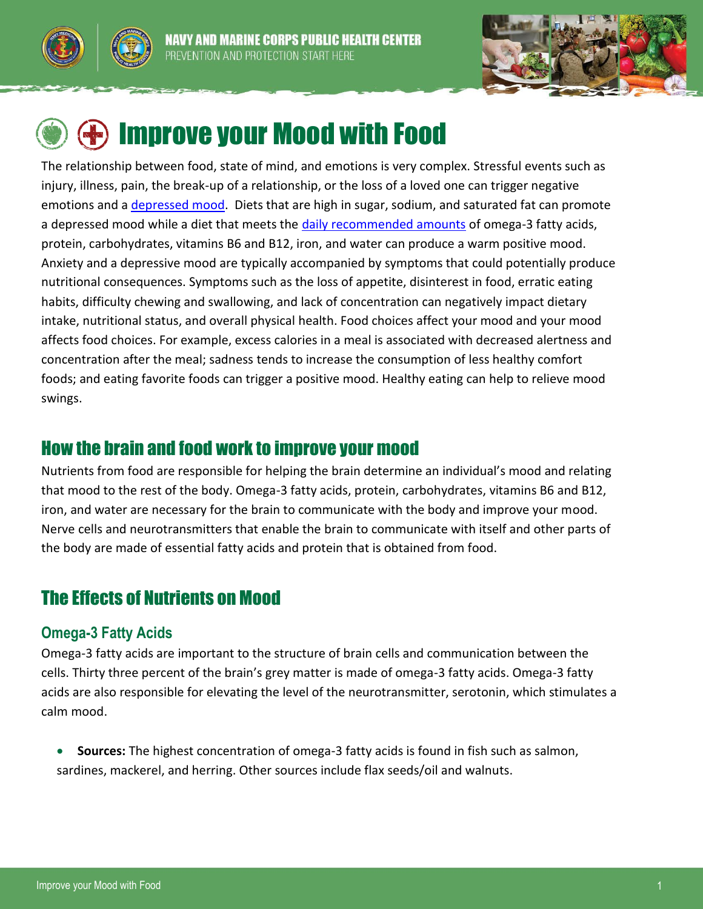





# Improve your Mood with Food

The relationship between food, state of mind, and emotions is very complex. Stressful events such as injury, illness, pain, the break-up of a relationship, or the loss of a loved one can trigger negative emotions and a [depressed mood.](http://www.med.navy.mil/sites/nmcphc/health-promotion/psychological-emotional-wellbeing/Pages/psychological-emotional-wellbeing.aspx) Diets that are high in sugar, sodium, and saturated fat can promote a depressed mood while a diet that meets the [daily recommended amounts](http://fnic.nal.usda.gov/dietary-guidance/dietary-reference-intakes/dri-tables) of omega-3 fatty acids, protein, carbohydrates, vitamins B6 and B12, iron, and water can produce a warm positive mood. Anxiety and a depressive mood are typically accompanied by symptoms that could potentially produce nutritional consequences. Symptoms such as the loss of appetite, disinterest in food, erratic eating habits, difficulty chewing and swallowing, and lack of concentration can negatively impact dietary intake, nutritional status, and overall physical health. Food choices affect your mood and your mood affects food choices. For example, excess calories in a meal is associated with decreased alertness and concentration after the meal; sadness tends to increase the consumption of less healthy comfort foods; and eating favorite foods can trigger a positive mood. Healthy eating can help to relieve mood swings.

# How the brain and food work to improve your mood

Nutrients from food are responsible for helping the brain determine an individual's mood and relating that mood to the rest of the body. Omega-3 fatty acids, protein, carbohydrates, vitamins B6 and B12, iron, and water are necessary for the brain to communicate with the body and improve your mood. Nerve cells and neurotransmitters that enable the brain to communicate with itself and other parts of the body are made of essential fatty acids and protein that is obtained from food.

# The Effects of Nutrients on Mood

## **Omega-3 Fatty Acids**

Omega-3 fatty acids are important to the structure of brain cells and communication between the cells. Thirty three percent of the brain's grey matter is made of omega-3 fatty acids. Omega-3 fatty acids are also responsible for elevating the level of the neurotransmitter, serotonin, which stimulates a calm mood.

 **Sources:** The highest concentration of omega-3 fatty acids is found in fish such as salmon, sardines, mackerel, and herring. Other sources include flax seeds/oil and walnuts.